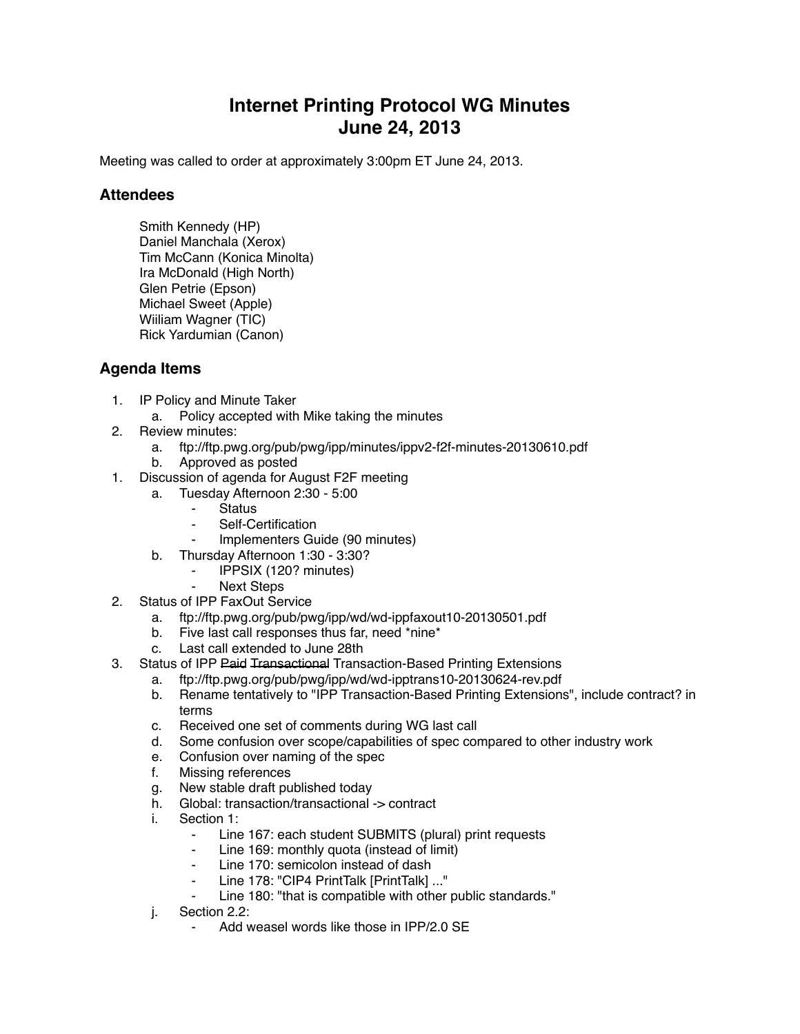## **Internet Printing Protocol WG Minutes June 24, 2013**

Meeting was called to order at approximately 3:00pm ET June 24, 2013.

## **Attendees**

Smith Kennedy (HP) Daniel Manchala (Xerox) Tim McCann (Konica Minolta) Ira McDonald (High North) Glen Petrie (Epson) Michael Sweet (Apple) Wiiliam Wagner (TIC) Rick Yardumian (Canon)

## **Agenda Items**

- 1. IP Policy and Minute Taker
	- a. Policy accepted with Mike taking the minutes
- 2. Review minutes:
	- a. ftp://ftp.pwg.org/pub/pwg/ipp/minutes/ippv2-f2f-minutes-20130610.pdf
	- b. Approved as posted
- 1. Discussion of agenda for August F2F meeting
	- a. Tuesday Afternoon 2:30 5:00
		- **Status**
		- Self-Certification
			- Implementers Guide (90 minutes)
	- b. Thursday Afternoon 1:30 3:30?
		- ⁃ IPPSIX (120? minutes)
		- Next Steps
- 2. Status of IPP FaxOut Service
	- a. ftp://ftp.pwg.org/pub/pwg/ipp/wd/wd-ippfaxout10-20130501.pdf
	- b. Five last call responses thus far, need \*nine\*
	- c. Last call extended to June 28th
- 3. Status of IPP Paid Transactional Transaction-Based Printing Extensions
	- a. ftp://ftp.pwg.org/pub/pwg/ipp/wd/wd-ipptrans10-20130624-rev.pdf
	- b. Rename tentatively to "IPP Transaction-Based Printing Extensions", include contract? in terms
	- c. Received one set of comments during WG last call
	- d. Some confusion over scope/capabilities of spec compared to other industry work
	- e. Confusion over naming of the spec
	- f. Missing references
	- g. New stable draft published today
	- h. Global: transaction/transactional -> contract
	- i. Section 1:
		- ⁃ Line 167: each student SUBMITS (plural) print requests
		- Line 169: monthly quota (instead of limit)
		- Line 170: semicolon instead of dash
		- ⁃ Line 178: "CIP4 PrintTalk [PrintTalk] ..."
		- Line 180: "that is compatible with other public standards."
	- j. Section 2.2:
		- Add weasel words like those in IPP/2.0 SE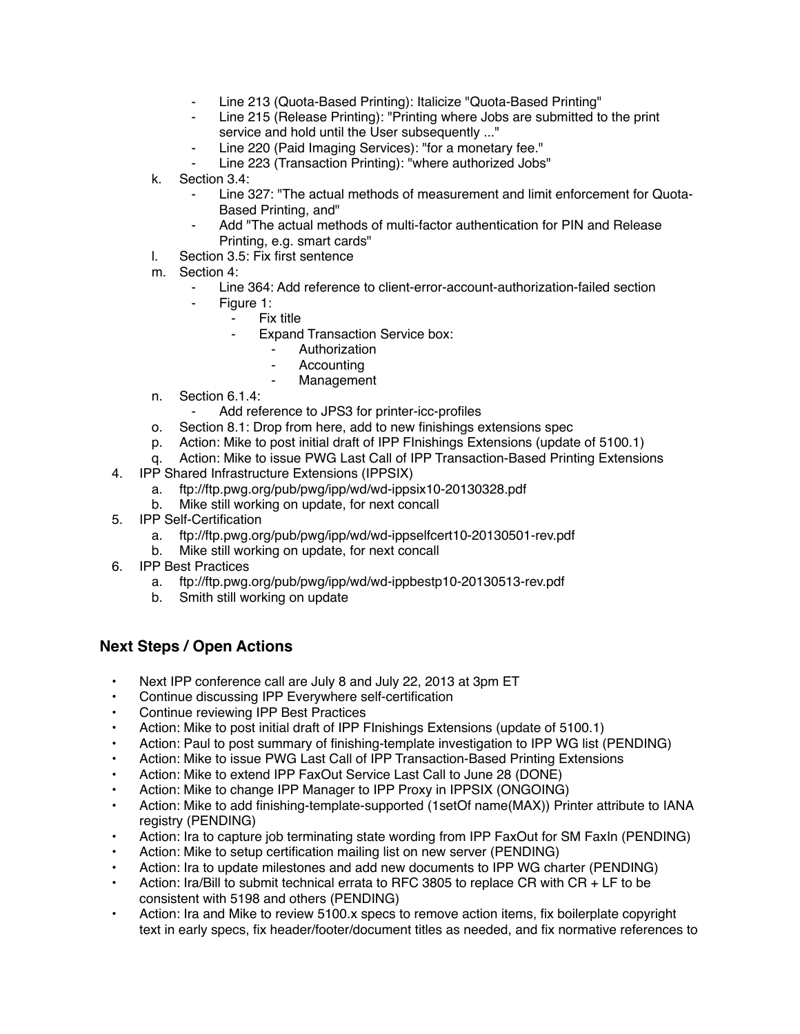- Line 213 (Quota-Based Printing): Italicize "Quota-Based Printing"
- Line 215 (Release Printing): "Printing where Jobs are submitted to the print service and hold until the User subsequently ..."
- Line 220 (Paid Imaging Services): "for a monetary fee."
- Line 223 (Transaction Printing): "where authorized Jobs"
- k. Section 3.4:
	- Line 327: "The actual methods of measurement and limit enforcement for Quota-Based Printing, and"
	- Add "The actual methods of multi-factor authentication for PIN and Release Printing, e.g. smart cards"
- l. Section 3.5: Fix first sentence
- m. Section 4:
	- ⁃ Line 364: Add reference to client-error-account-authorization-failed section
	- Figure 1:
		- ⁃ Fix title
		- Expand Transaction Service box:
			- **Authorization**
			- **Accounting**
			- **Management**
- n. Section 6.1.4:
	- Add reference to JPS3 for printer-icc-profiles
- o. Section 8.1: Drop from here, add to new finishings extensions spec
- p. Action: Mike to post initial draft of IPP FInishings Extensions (update of 5100.1)
- q. Action: Mike to issue PWG Last Call of IPP Transaction-Based Printing Extensions
- 4. IPP Shared Infrastructure Extensions (IPPSIX)
	- a. ftp://ftp.pwg.org/pub/pwg/ipp/wd/wd-ippsix10-20130328.pdf
	- b. Mike still working on update, for next concall
- 5. IPP Self-Certification
	- a. ftp://ftp.pwg.org/pub/pwg/ipp/wd/wd-ippselfcert10-20130501-rev.pdf
	- b. Mike still working on update, for next concall
- 6. IPP Best Practices
	- a. ftp://ftp.pwg.org/pub/pwg/ipp/wd/wd-ippbestp10-20130513-rev.pdf
	- b. Smith still working on update

## **Next Steps / Open Actions**

- Next IPP conference call are July 8 and July 22, 2013 at 3pm ET
- Continue discussing IPP Everywhere self-certification
- Continue reviewing IPP Best Practices
- Action: Mike to post initial draft of IPP FInishings Extensions (update of 5100.1)
- Action: Paul to post summary of finishing-template investigation to IPP WG list (PENDING)
- Action: Mike to issue PWG Last Call of IPP Transaction-Based Printing Extensions
- Action: Mike to extend IPP FaxOut Service Last Call to June 28 (DONE)
- Action: Mike to change IPP Manager to IPP Proxy in IPPSIX (ONGOING)
- Action: Mike to add finishing-template-supported (1setOf name(MAX)) Printer attribute to IANA registry (PENDING)
- Action: Ira to capture job terminating state wording from IPP FaxOut for SM FaxIn (PENDING)
- Action: Mike to setup certification mailing list on new server (PENDING)
- Action: Ira to update milestones and add new documents to IPP WG charter (PENDING)
- Action: Ira/Bill to submit technical errata to RFC 3805 to replace CR with CR + LF to be consistent with 5198 and others (PENDING)
- Action: Ira and Mike to review 5100.x specs to remove action items, fix boilerplate copyright text in early specs, fix header/footer/document titles as needed, and fix normative references to